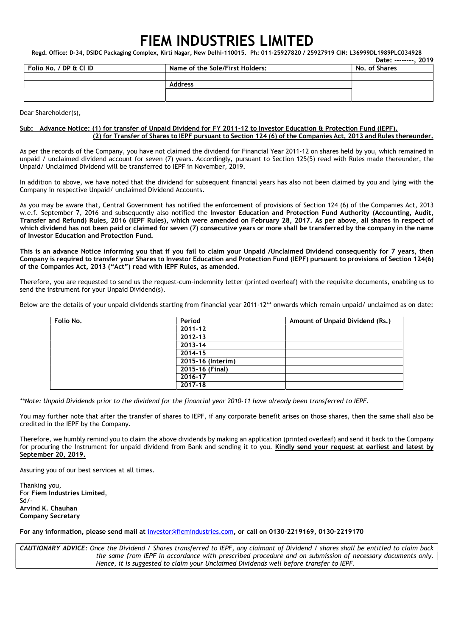## FIEM INDUSTRIES LIMITED

Regd. Office: D-34, DSIDC Packaging Complex, Kirti Nagar, New Delhi-110015. Ph: 011-25927820 / 25927919 CIN: L36999DL1989PLC034928

|                        |                                 | Date: --------. 2019 |
|------------------------|---------------------------------|----------------------|
| Folio No. / DP & Cl ID | Name of the Sole/First Holders: | No. of Shares        |
|                        |                                 |                      |
|                        | <b>Address</b>                  |                      |
|                        |                                 |                      |
|                        |                                 |                      |

Dear Shareholder(s),

## Sub: Advance Notice: (1) for transfer of Unpaid Dividend for FY 2011-12 to Investor Education & Protection Fund (IEPF). (2) for Transfer of Shares to IEPF pursuant to Section 124 (6) of the Companies Act, 2013 and Rules thereunder.

As per the records of the Company, you have not claimed the dividend for Financial Year 2011-12 on shares held by you, which remained in unpaid / unclaimed dividend account for seven (7) years. Accordingly, pursuant to Section 125(5) read with Rules made thereunder, the Unpaid/ Unclaimed Dividend will be transferred to IEPF in November, 2019.

In addition to above, we have noted that the dividend for subsequent financial years has also not been claimed by you and lying with the Company in respective Unpaid/ unclaimed Dividend Accounts.

As you may be aware that, Central Government has notified the enforcement of provisions of Section 124 (6) of the Companies Act, 2013 w.e.f. September 7, 2016 and subsequently also notified the Investor Education and Protection Fund Authority (Accounting, Audit, Transfer and Refund) Rules, 2016 (IEPF Rules), which were amended on February 28, 2017. As per above, all shares in respect of which dividend has not been paid or claimed for seven (7) consecutive years or more shall be transferred by the company in the name of Investor Education and Protection Fund.

This is an advance Notice informing you that if you fail to claim your Unpaid /Unclaimed Dividend consequently for 7 years, then Company is required to transfer your Shares to Investor Education and Protection Fund (IEPF) pursuant to provisions of Section 124(6) of the Companies Act, 2013 ("Act") read with IEPF Rules, as amended.

Therefore, you are requested to send us the request-cum-indemnity letter (printed overleaf) with the requisite documents, enabling us to send the instrument for your Unpaid Dividend(s).

Below are the details of your unpaid dividends starting from financial year 2011-12\*\* onwards which remain unpaid/ unclaimed as on date:

| Folio No. | Period            | Amount of Unpaid Dividend (Rs.) |
|-----------|-------------------|---------------------------------|
|           | $2011 - 12$       |                                 |
|           | 2012-13           |                                 |
|           | 2013-14           |                                 |
|           | 2014-15           |                                 |
|           | 2015-16 (Interim) |                                 |
|           | 2015-16 (Final)   |                                 |
|           | 2016-17           |                                 |
|           | 2017-18           |                                 |
|           |                   |                                 |

\*\*Note: Unpaid Dividends prior to the dividend for the financial year 2010-11 have already been transferred to IEPF.

You may further note that after the transfer of shares to IEPF, if any corporate benefit arises on those shares, then the same shall also be credited in the IEPF by the Company.

Therefore, we humbly remind you to claim the above dividends by making an application (printed overleaf) and send it back to the Company for procuring the Instrument for unpaid dividend from Bank and sending it to you. Kindly send your request at earliest and latest by September 20, 2019.

Assuring you of our best services at all times.

Thanking you, For Fiem Industries Limited, Sd/- Arvind K. Chauhan Company Secretary

For any information, please send mail at investor@fiemindustries.com, or call on 0130–2219169, 0130–2219170

CAUTIONARY ADVICE: Once the Dividend / Shares transferred to IEPF, any claimant of Dividend / shares shall be entitled to claim back the same from IEPF in accordance with prescribed procedure and on submission of necessary documents only. Hence, it is suggested to claim your Unclaimed Dividends well before transfer to IEPF.